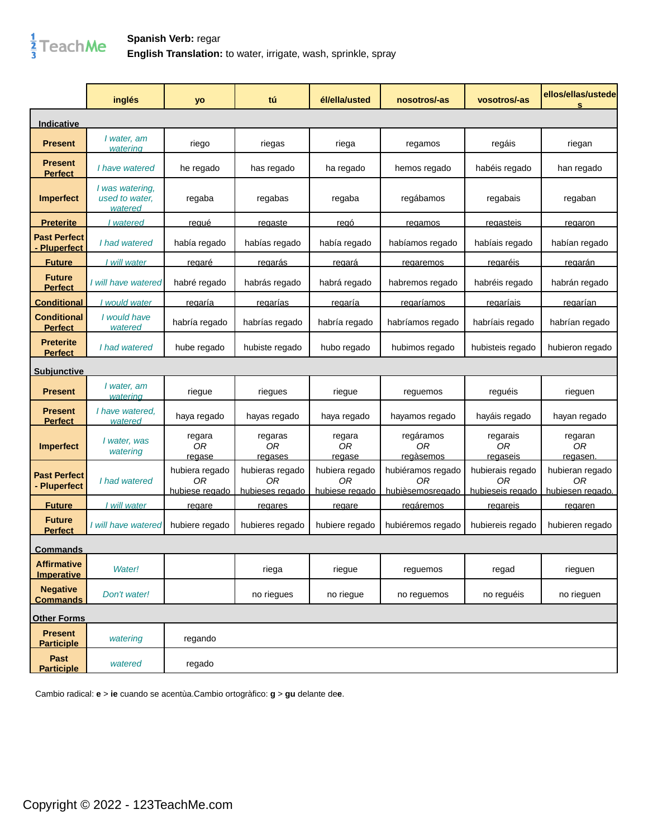## $\frac{1}{3}$ TeachMe

**Spanish Verb:** regar **English Translation:** to water, irrigate, wash, sprinkle, spray

|                                          | inglés                                       | yo                                     | tú                                       | él/ella/usted                                 | nosotros/-as                                | vosotros/-as                               | ellos/ellas/ustede<br>$\mathbf{s}$        |
|------------------------------------------|----------------------------------------------|----------------------------------------|------------------------------------------|-----------------------------------------------|---------------------------------------------|--------------------------------------------|-------------------------------------------|
| <b>Indicative</b>                        |                                              |                                        |                                          |                                               |                                             |                                            |                                           |
| <b>Present</b>                           | I water, am<br>watering                      | riego                                  | riegas                                   | riega                                         | regamos                                     | regáis                                     | riegan                                    |
| <b>Present</b><br><b>Perfect</b>         | I have watered                               | he regado                              | has regado                               | ha regado                                     | hemos regado                                | habéis regado                              | han regado                                |
| <b>Imperfect</b>                         | I was watering,<br>used to water.<br>watered | regaba                                 | regabas                                  | regaba                                        | regábamos                                   | regabais                                   | regaban                                   |
| <b>Preterite</b>                         | I watered                                    | <u>reaué</u>                           | regaste                                  | regó                                          | regamos                                     | regasteis                                  | regaron                                   |
| <b>Past Perfect</b><br><b>Pluperfect</b> | I had watered                                | había regado                           | habías regado                            | había regado                                  | habíamos regado                             | habíais regado                             | habían regado                             |
| <b>Future</b>                            | <u>I will water</u>                          | <u>regaré</u>                          | <u>regarás</u>                           | <u>regará</u>                                 | regaremos                                   | <u>regaréis</u>                            | <u>regarán</u>                            |
| <b>Future</b><br><b>Perfect</b>          | I will have watered                          | habré regado                           | habrás regado                            | habrá regado                                  | habremos regado                             | habréis regado                             | habrán regado                             |
| <b>Conditional</b>                       | would water                                  | regaría                                | regarías                                 | <u>regaría</u>                                | regaríamos                                  | regaríais                                  | regarían                                  |
| <b>Conditional</b><br><b>Perfect</b>     | I would have<br>watered                      | habría regado                          | habrías regado                           | habría regado                                 | habríamos regado                            | habríais regado                            | habrían regado                            |
| <b>Preterite</b><br><b>Perfect</b>       | I had watered                                | hube regado                            | hubiste regado                           | hubo regado                                   | hubimos regado                              | hubisteis regado                           | hubieron regado                           |
| <u>Subiunctive</u>                       |                                              |                                        |                                          |                                               |                                             |                                            |                                           |
| <b>Present</b>                           | I water, am<br>watering                      | riegue                                 | riegues                                  | riegue                                        | reguemos                                    | reguéis                                    | rieguen                                   |
| <b>Present</b><br><b>Perfect</b>         | I have watered.<br>watered                   | haya regado                            | hayas regado                             | haya regado                                   | hayamos regado                              | hayáis regado                              | hayan regado                              |
| <b>Imperfect</b>                         | I water, was<br>watering                     | regara<br>0 <sub>R</sub><br>regase     | regaras<br>0R<br>regases                 | regara<br>0R<br>regase                        | regáramos<br>0R<br>regàsemos                | regarais<br>0R<br>regaseis                 | regaran<br>0 <sub>R</sub><br>regasen      |
| <b>Past Perfect</b><br>- Pluperfect      | I had watered                                | hubiera regado<br>0R<br>hubiese regado | hubieras regado<br>ΟR<br>hubieses regado | hubiera regado<br>ΟR<br><u>hubiese regado</u> | hubiéramos regado<br>ΟR<br>hubièsemosregado | hubierais regado<br>ΟR<br>hubieseis regado | hubieran regado<br>0R<br>hubiesen regado. |
| <b>Future</b>                            | I will water                                 | regare                                 | regares                                  | regare                                        | regáremos                                   | regareis                                   | regaren                                   |
| <b>Future</b><br><b>Perfect</b>          | I will have watered                          | hubiere regado                         | hubieres regado                          | hubiere regado                                | hubiéremos regado                           | hubiereis regado                           | hubieren regado                           |
| <u>Commands</u>                          |                                              |                                        |                                          |                                               |                                             |                                            |                                           |
| <b>Affirmative</b><br><b>Imperative</b>  | Water!                                       |                                        | riega                                    | riegue                                        | reguemos                                    | regad                                      | rieguen                                   |
| <b>Negative</b><br><b>Commands</b>       | Don't water!                                 |                                        | no riegues                               | no riegue                                     | no reguemos                                 | no reguéis                                 | no rieguen                                |
| <b>Other Forms</b>                       |                                              |                                        |                                          |                                               |                                             |                                            |                                           |
| <b>Present</b><br><b>Participle</b>      | watering                                     | regando                                |                                          |                                               |                                             |                                            |                                           |
| Past<br><b>Participle</b>                | watered                                      | regado                                 |                                          |                                               |                                             |                                            |                                           |

Cambio radical: **e** > **ie** cuando se acentùa.Cambio ortogràfico: **g** > **gu** delante de**e**.